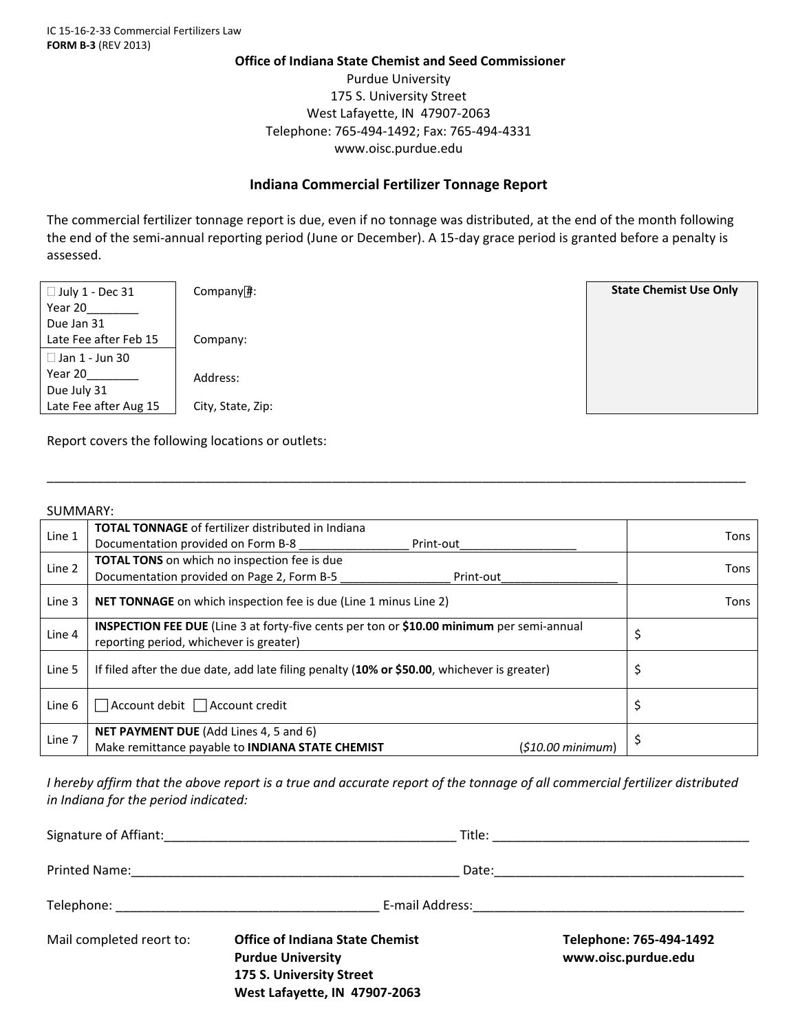## **Office of Indiana State Chemist and Seed Commissioner**

Purdue University 175 S. University Street West Lafayette, IN 47907‐2063 Telephone: 765‐494‐1492; Fax: 765‐494‐4331 www.oisc.purdue.edu

## **Indiana Commercial Fertilizer Tonnage Report**

The commercial fertilizer tonnage report is due, even if no tonnage was distributed, at the end of the month following the end of the semi-annual reporting period (June or December). A 15-day grace period is granted before a penalty is assessed.



Company#: **State Chemist Use Only** Company:

Address:

Report covers the following locations or outlets:

## SUMMARY:

| Line 1 | <b>TOTAL TONNAGE</b> of fertilizer distributed in Indiana                                                                                   | Tons |  |  |  |  |
|--------|---------------------------------------------------------------------------------------------------------------------------------------------|------|--|--|--|--|
|        | Documentation provided on Form B-8<br>Print-out                                                                                             |      |  |  |  |  |
| Line 2 | TOTAL TONS on which no inspection fee is due                                                                                                | Tons |  |  |  |  |
|        | Documentation provided on Page 2, Form B-5<br>Print-out                                                                                     |      |  |  |  |  |
| Line 3 | <b>NET TONNAGE</b> on which inspection fee is due (Line 1 minus Line 2)                                                                     | Tons |  |  |  |  |
| Line 4 | <b>INSPECTION FEE DUE</b> (Line 3 at forty-five cents per ton or \$10.00 minimum per semi-annual<br>reporting period, whichever is greater) | \$   |  |  |  |  |
| Line 5 | If filed after the due date, add late filing penalty (10% or \$50.00, whichever is greater)                                                 |      |  |  |  |  |
| Line 6 | $\exists$ Account debit $\Box$ Account credit                                                                                               | Ş    |  |  |  |  |
| Line 7 | <b>NET PAYMENT DUE</b> (Add Lines 4, 5 and 6)                                                                                               |      |  |  |  |  |
|        | Make remittance payable to <b>INDIANA STATE CHEMIST</b><br>$(510.00 \text{ minimum})$                                                       |      |  |  |  |  |

\_\_\_\_\_\_\_\_\_\_\_\_\_\_\_\_\_\_\_\_\_\_\_\_\_\_\_\_\_\_\_\_\_\_\_\_\_\_\_\_\_\_\_\_\_\_\_\_\_\_\_\_\_\_\_\_\_\_\_\_\_\_\_\_\_\_\_\_\_\_\_\_\_\_\_\_\_\_\_\_\_\_\_\_\_\_\_\_\_\_\_\_\_\_\_\_\_\_

I hereby affirm that the above report is a true and accurate report of the tonnage of all commercial fertilizer distributed *in Indiana for the period indicated:*

|                          | E-mail Address: 2008 - 2009 - 2010 - 2010 - 2010 - 2010 - 2010 - 2010 - 2010 - 2010 - 2010 - 2010 - 2010 - 20                   |                                                |  |  |
|--------------------------|---------------------------------------------------------------------------------------------------------------------------------|------------------------------------------------|--|--|
| Mail completed reort to: | <b>Office of Indiana State Chemist</b><br><b>Purdue University</b><br>175 S. University Street<br>West Lafayette, IN 47907-2063 | Telephone: 765-494-1492<br>www.oisc.purdue.edu |  |  |